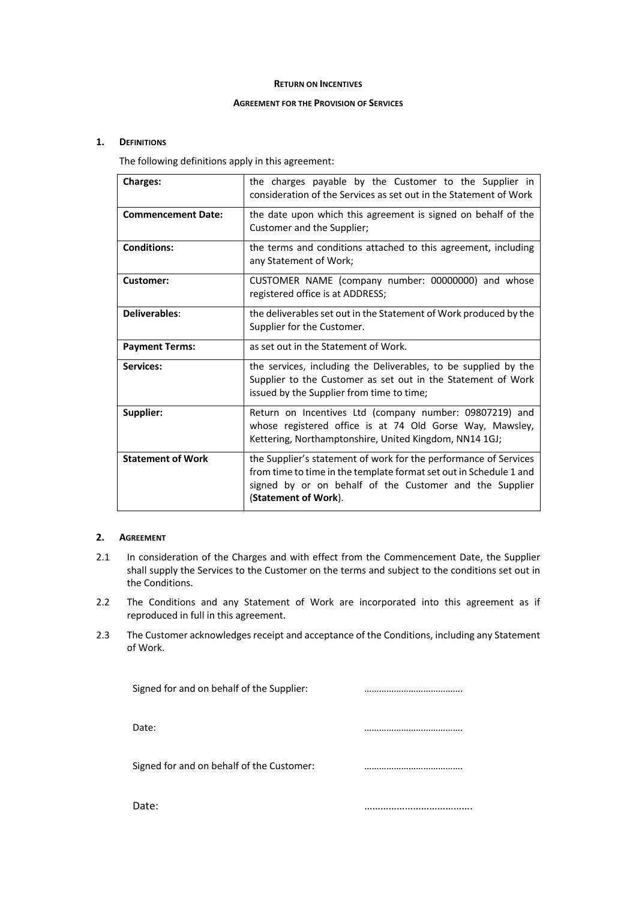#### **RETURN ON INCENTIVES**

#### **AGREEMENT FOR THE PROVISION OF SERVICES**

## **1. DEFINITIONS**

The following definitions apply in this agreement:

| <b>Charges:</b>           | the charges payable by the Customer to the Supplier in<br>consideration of the Services as set out in the Statement of Work                                                                                               |  |
|---------------------------|---------------------------------------------------------------------------------------------------------------------------------------------------------------------------------------------------------------------------|--|
| <b>Commencement Date:</b> | the date upon which this agreement is signed on behalf of the<br>Customer and the Supplier;                                                                                                                               |  |
| <b>Conditions:</b>        | the terms and conditions attached to this agreement, including<br>any Statement of Work;                                                                                                                                  |  |
| Customer:                 | CUSTOMER NAME (company number: 00000000) and whose<br>registered office is at ADDRESS;                                                                                                                                    |  |
| Deliverables:             | the deliverables set out in the Statement of Work produced by the<br>Supplier for the Customer.                                                                                                                           |  |
| <b>Payment Terms:</b>     | as set out in the Statement of Work.                                                                                                                                                                                      |  |
| Services:                 | the services, including the Deliverables, to be supplied by the<br>Supplier to the Customer as set out in the Statement of Work<br>issued by the Supplier from time to time;                                              |  |
| Supplier:                 | Return on Incentives Ltd (company number: 09807219) and<br>whose registered office is at 74 Old Gorse Way, Mawsley,<br>Kettering, Northamptonshire, United Kingdom, NN14 1GJ;                                             |  |
| <b>Statement of Work</b>  | the Supplier's statement of work for the performance of Services<br>from time to time in the template format set out in Schedule 1 and<br>signed by or on behalf of the Customer and the Supplier<br>(Statement of Work). |  |

#### **2. AGREEMENT**

- 2.1 In consideration of the Charges and with effect from the Commencement Date, the Supplier shall supply the Services to the Customer on the terms and subject to the conditions set out in the Conditions.
- 2.2 The Conditions and any Statement of Work are incorporated into this agreement as if reproduced in full in this agreement.
- 2.3 The Customer acknowledges receipt and acceptance of the Conditions, including any Statement of Work.

| Signed for and on behalf of the Supplier: |   |
|-------------------------------------------|---|
| Date:                                     |   |
| Signed for and on behalf of the Customer: | . |
| Date:                                     |   |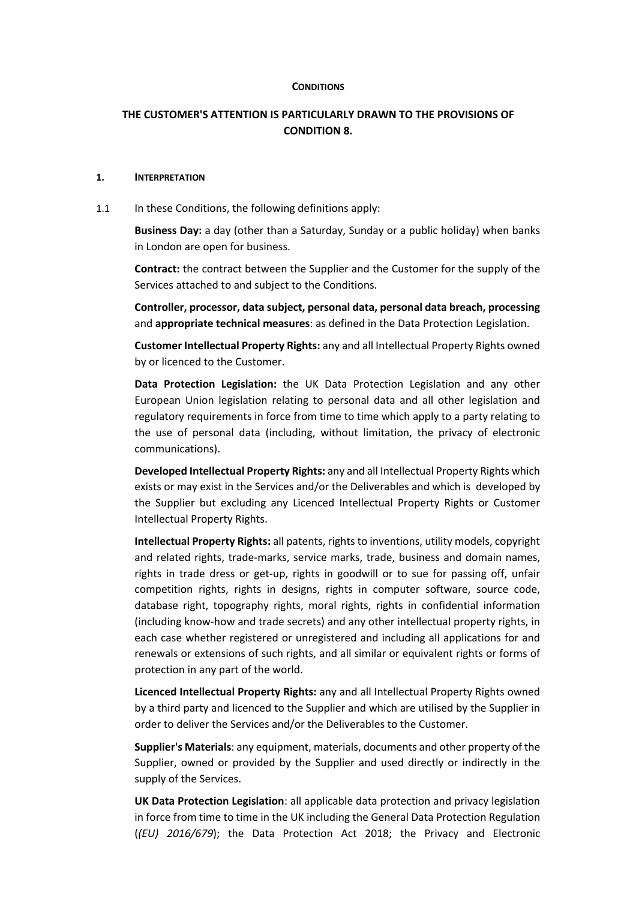#### **CONDITIONS**

# **THE CUSTOMER'S ATTENTION IS PARTICULARLY DRAWN TO THE PROVISIONS OF CONDITION 8.**

#### **1. INTERPRETATION**

1.1 In these Conditions, the following definitions apply:

**Business Day:** a day (other than a Saturday, Sunday or a public holiday) when banks in London are open for business.

**Contract:** the contract between the Supplier and the Customer for the supply of the Services attached to and subject to the Conditions.

**Controller, processor, data subject, personal data, personal data breach, processing** and **appropriate technical measures**: as defined in the Data Protection Legislation.

**Customer Intellectual Property Rights:** any and all Intellectual Property Rights owned by or licenced to the Customer.

**Data Protection Legislation:** the UK Data Protection Legislation and any other European Union legislation relating to personal data and all other legislation and regulatory requirements in force from time to time which apply to a party relating to the use of personal data (including, without limitation, the privacy of electronic communications).

**Developed Intellectual Property Rights:** any and all Intellectual Property Rights which exists or may exist in the Services and/or the Deliverables and which is developed by the Supplier but excluding any Licenced Intellectual Property Rights or Customer Intellectual Property Rights.

**Intellectual Property Rights:** all patents, rights to inventions, utility models, copyright and related rights, trade-marks, service marks, trade, business and domain names, rights in trade dress or get-up, rights in goodwill or to sue for passing off, unfair competition rights, rights in designs, rights in computer software, source code, database right, topography rights, moral rights, rights in confidential information (including know-how and trade secrets) and any other intellectual property rights, in each case whether registered or unregistered and including all applications for and renewals or extensions of such rights, and all similar or equivalent rights or forms of protection in any part of the world.

**Licenced Intellectual Property Rights:** any and all Intellectual Property Rights owned by a third party and licenced to the Supplier and which are utilised by the Supplier in order to deliver the Services and/or the Deliverables to the Customer.

**Supplier's Materials**: any equipment, materials, documents and other property of the Supplier, owned or provided by the Supplier and used directly or indirectly in the supply of the Services.

**UK Data Protection Legislation**: all applicable data protection and privacy legislation in force from time to time in the UK including the General Data Protection Regulation (*(EU) 2016/679*); the Data Protection Act 2018; the Privacy and Electronic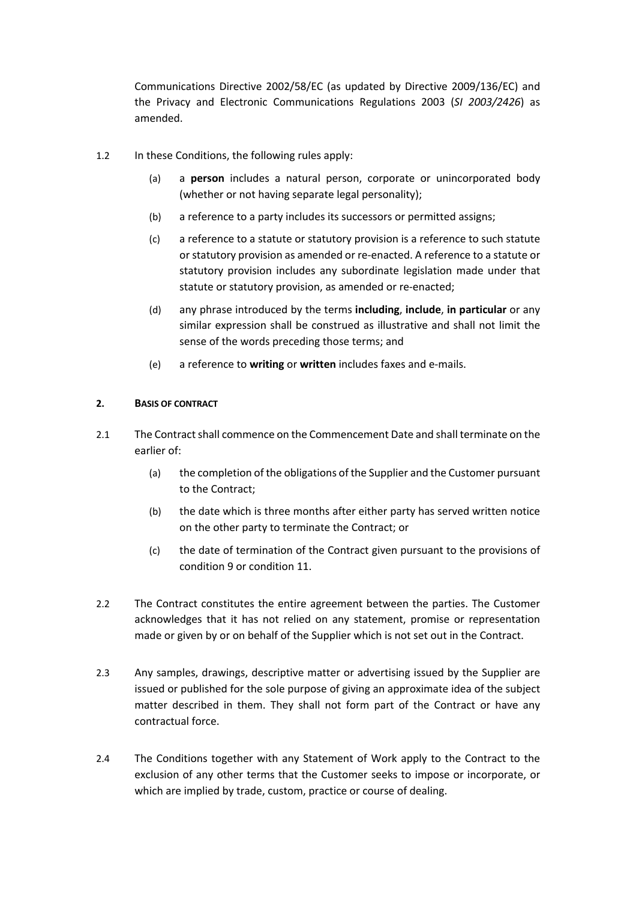Communications Directive 2002/58/EC (as updated by Directive 2009/136/EC) and the Privacy and Electronic Communications Regulations 2003 (*SI 2003/2426*) as amended.

- 1.2 In these Conditions, the following rules apply:
	- (a) a **person** includes a natural person, corporate or unincorporated body (whether or not having separate legal personality);
	- (b) a reference to a party includes its successors or permitted assigns;
	- (c) a reference to a statute or statutory provision is a reference to such statute or statutory provision as amended or re-enacted. A reference to a statute or statutory provision includes any subordinate legislation made under that statute or statutory provision, as amended or re-enacted;
	- (d) any phrase introduced by the terms **including**, **include**, **in particular** or any similar expression shall be construed as illustrative and shall not limit the sense of the words preceding those terms; and
	- (e) a reference to **writing** or **written** includes faxes and e-mails.

## **2. BASIS OF CONTRACT**

- 2.1 The Contract shall commence on the Commencement Date and shall terminate on the earlier of:
	- (a) the completion of the obligations of the Supplier and the Customer pursuant to the Contract;
	- (b) the date which is three months after either party has served written notice on the other party to terminate the Contract; or
	- (c) the date of termination of the Contract given pursuant to the provisions of condition 9 or condition 11.
- 2.2 The Contract constitutes the entire agreement between the parties. The Customer acknowledges that it has not relied on any statement, promise or representation made or given by or on behalf of the Supplier which is not set out in the Contract.
- 2.3 Any samples, drawings, descriptive matter or advertising issued by the Supplier are issued or published for the sole purpose of giving an approximate idea of the subject matter described in them. They shall not form part of the Contract or have any contractual force.
- 2.4 The Conditions together with any Statement of Work apply to the Contract to the exclusion of any other terms that the Customer seeks to impose or incorporate, or which are implied by trade, custom, practice or course of dealing.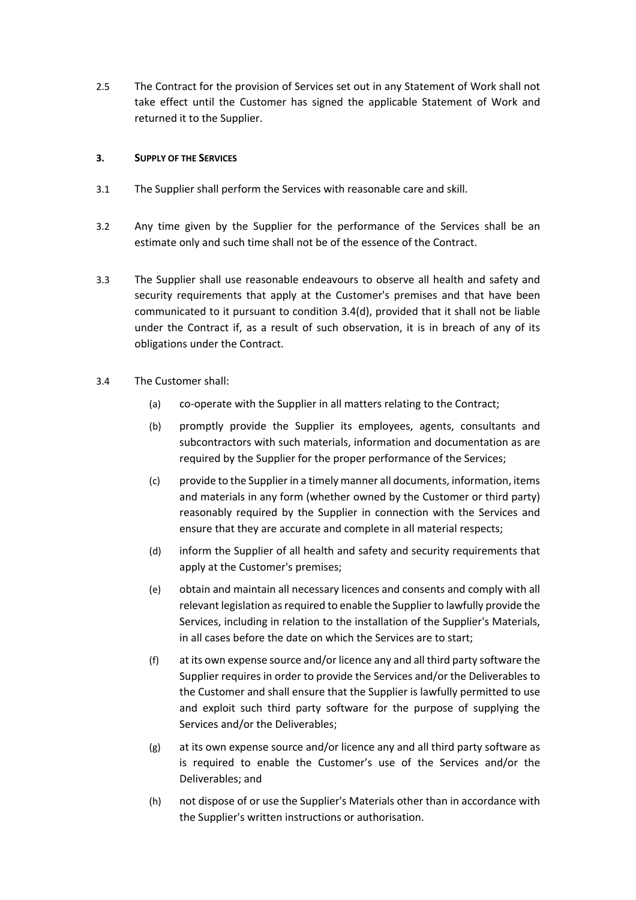2.5 The Contract for the provision of Services set out in any Statement of Work shall not take effect until the Customer has signed the applicable Statement of Work and returned it to the Supplier.

### **3. SUPPLY OF THE SERVICES**

- 3.1 The Supplier shall perform the Services with reasonable care and skill.
- 3.2 Any time given by the Supplier for the performance of the Services shall be an estimate only and such time shall not be of the essence of the Contract.
- 3.3 The Supplier shall use reasonable endeavours to observe all health and safety and security requirements that apply at the Customer's premises and that have been communicated to it pursuant to condition 3.4(d), provided that it shall not be liable under the Contract if, as a result of such observation, it is in breach of any of its obligations under the Contract.
- 3.4 The Customer shall:
	- (a) co-operate with the Supplier in all matters relating to the Contract;
	- (b) promptly provide the Supplier its employees, agents, consultants and subcontractors with such materials, information and documentation as are required by the Supplier for the proper performance of the Services;
	- (c) provide to the Supplier in a timely manner all documents, information, items and materials in any form (whether owned by the Customer or third party) reasonably required by the Supplier in connection with the Services and ensure that they are accurate and complete in all material respects;
	- (d) inform the Supplier of all health and safety and security requirements that apply at the Customer's premises;
	- (e) obtain and maintain all necessary licences and consents and comply with all relevant legislation as required to enable the Supplier to lawfully provide the Services, including in relation to the installation of the Supplier's Materials, in all cases before the date on which the Services are to start;
	- (f) at its own expense source and/or licence any and all third party software the Supplier requires in order to provide the Services and/or the Deliverables to the Customer and shall ensure that the Supplier is lawfully permitted to use and exploit such third party software for the purpose of supplying the Services and/or the Deliverables;
	- (g) at its own expense source and/or licence any and all third party software as is required to enable the Customer's use of the Services and/or the Deliverables; and
	- (h) not dispose of or use the Supplier's Materials other than in accordance with the Supplier's written instructions or authorisation.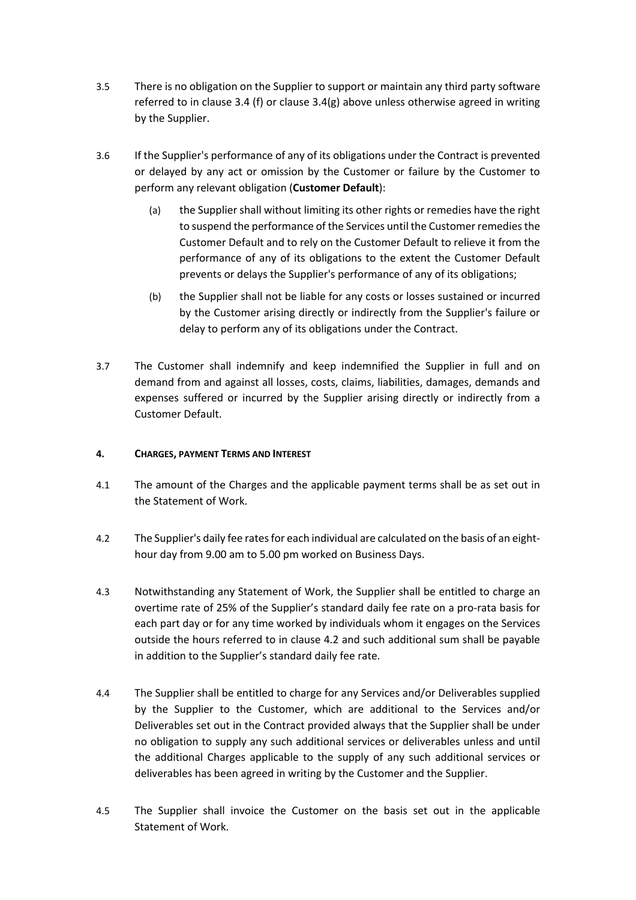- 3.5 There is no obligation on the Supplier to support or maintain any third party software referred to in clause 3.4 (f) or clause  $3.4(g)$  above unless otherwise agreed in writing by the Supplier.
- 3.6 If the Supplier's performance of any of its obligations under the Contract is prevented or delayed by any act or omission by the Customer or failure by the Customer to perform any relevant obligation (**Customer Default**):
	- (a) the Supplier shall without limiting its other rights or remedies have the right to suspend the performance of the Services until the Customer remedies the Customer Default and to rely on the Customer Default to relieve it from the performance of any of its obligations to the extent the Customer Default prevents or delays the Supplier's performance of any of its obligations;
	- (b) the Supplier shall not be liable for any costs or losses sustained or incurred by the Customer arising directly or indirectly from the Supplier's failure or delay to perform any of its obligations under the Contract.
- 3.7 The Customer shall indemnify and keep indemnified the Supplier in full and on demand from and against all losses, costs, claims, liabilities, damages, demands and expenses suffered or incurred by the Supplier arising directly or indirectly from a Customer Default.

## **4. CHARGES, PAYMENT TERMS AND INTEREST**

- 4.1 The amount of the Charges and the applicable payment terms shall be as set out in the Statement of Work.
- 4.2 The Supplier's daily fee rates for each individual are calculated on the basis of an eighthour day from 9.00 am to 5.00 pm worked on Business Days.
- 4.3 Notwithstanding any Statement of Work, the Supplier shall be entitled to charge an overtime rate of 25% of the Supplier's standard daily fee rate on a pro-rata basis for each part day or for any time worked by individuals whom it engages on the Services outside the hours referred to in clause 4.2 and such additional sum shall be payable in addition to the Supplier's standard daily fee rate.
- 4.4 The Supplier shall be entitled to charge for any Services and/or Deliverables supplied by the Supplier to the Customer, which are additional to the Services and/or Deliverables set out in the Contract provided always that the Supplier shall be under no obligation to supply any such additional services or deliverables unless and until the additional Charges applicable to the supply of any such additional services or deliverables has been agreed in writing by the Customer and the Supplier.
- 4.5 The Supplier shall invoice the Customer on the basis set out in the applicable Statement of Work.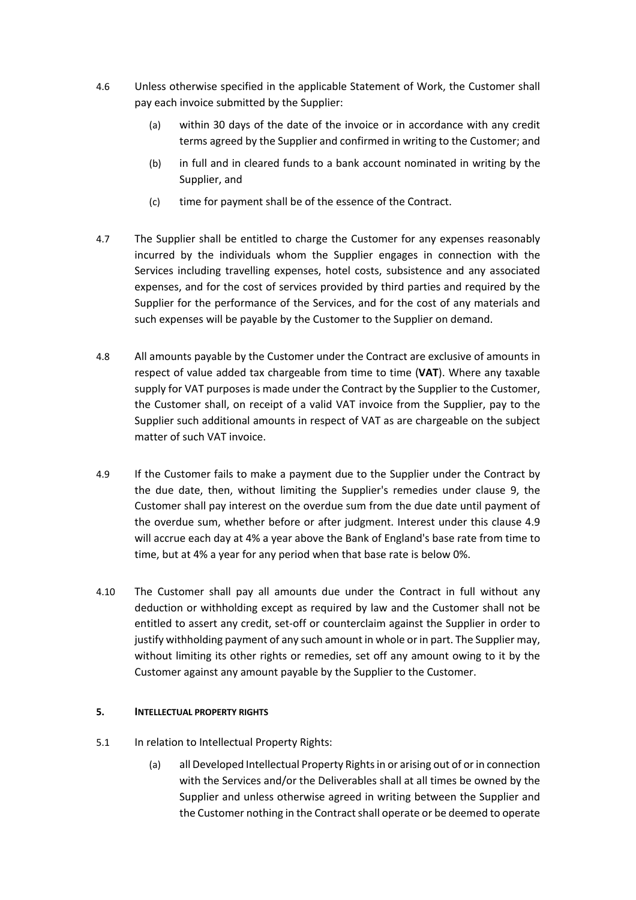- 4.6 Unless otherwise specified in the applicable Statement of Work, the Customer shall pay each invoice submitted by the Supplier:
	- (a) within 30 days of the date of the invoice or in accordance with any credit terms agreed by the Supplier and confirmed in writing to the Customer; and
	- (b) in full and in cleared funds to a bank account nominated in writing by the Supplier, and
	- (c) time for payment shall be of the essence of the Contract.
- 4.7 The Supplier shall be entitled to charge the Customer for any expenses reasonably incurred by the individuals whom the Supplier engages in connection with the Services including travelling expenses, hotel costs, subsistence and any associated expenses, and for the cost of services provided by third parties and required by the Supplier for the performance of the Services, and for the cost of any materials and such expenses will be payable by the Customer to the Supplier on demand.
- 4.8 All amounts payable by the Customer under the Contract are exclusive of amounts in respect of value added tax chargeable from time to time (**VAT**). Where any taxable supply for VAT purposes is made under the Contract by the Supplier to the Customer, the Customer shall, on receipt of a valid VAT invoice from the Supplier, pay to the Supplier such additional amounts in respect of VAT as are chargeable on the subject matter of such VAT invoice.
- 4.9 If the Customer fails to make a payment due to the Supplier under the Contract by the due date, then, without limiting the Supplier's remedies under clause 9, the Customer shall pay interest on the overdue sum from the due date until payment of the overdue sum, whether before or after judgment. Interest under this clause 4.9 will accrue each day at 4% a year above the Bank of England's base rate from time to time, but at 4% a year for any period when that base rate is below 0%.
- 4.10 The Customer shall pay all amounts due under the Contract in full without any deduction or withholding except as required by law and the Customer shall not be entitled to assert any credit, set-off or counterclaim against the Supplier in order to justify withholding payment of any such amount in whole or in part. The Supplier may, without limiting its other rights or remedies, set off any amount owing to it by the Customer against any amount payable by the Supplier to the Customer.

## **5. INTELLECTUAL PROPERTY RIGHTS**

- 5.1 In relation to Intellectual Property Rights:
	- (a) all Developed Intellectual Property Rights in or arising out of or in connection with the Services and/or the Deliverables shall at all times be owned by the Supplier and unless otherwise agreed in writing between the Supplier and the Customer nothing in the Contract shall operate or be deemed to operate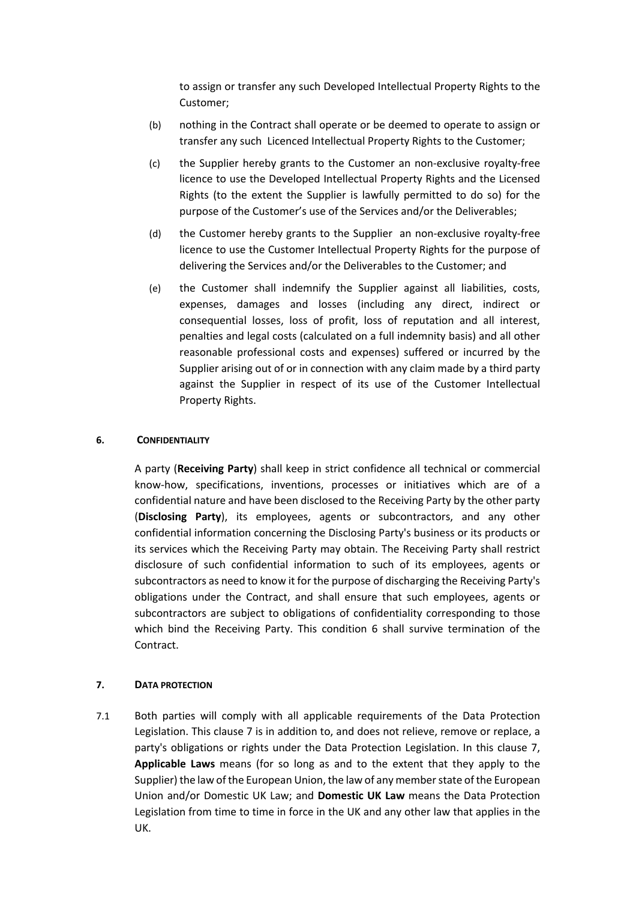to assign or transfer any such Developed Intellectual Property Rights to the Customer;

- (b) nothing in the Contract shall operate or be deemed to operate to assign or transfer any such Licenced Intellectual Property Rights to the Customer;
- (c) the Supplier hereby grants to the Customer an non-exclusive royalty-free licence to use the Developed Intellectual Property Rights and the Licensed Rights (to the extent the Supplier is lawfully permitted to do so) for the purpose of the Customer's use of the Services and/or the Deliverables;
- (d) the Customer hereby grants to the Supplier an non-exclusive royalty-free licence to use the Customer Intellectual Property Rights for the purpose of delivering the Services and/or the Deliverables to the Customer; and
- (e) the Customer shall indemnify the Supplier against all liabilities, costs, expenses, damages and losses (including any direct, indirect or consequential losses, loss of profit, loss of reputation and all interest, penalties and legal costs (calculated on a full indemnity basis) and all other reasonable professional costs and expenses) suffered or incurred by the Supplier arising out of or in connection with any claim made by a third party against the Supplier in respect of its use of the Customer Intellectual Property Rights.

## **6. CONFIDENTIALITY**

A party (**Receiving Party**) shall keep in strict confidence all technical or commercial know-how, specifications, inventions, processes or initiatives which are of a confidential nature and have been disclosed to the Receiving Party by the other party (**Disclosing Party**), its employees, agents or subcontractors, and any other confidential information concerning the Disclosing Party's business or its products or its services which the Receiving Party may obtain. The Receiving Party shall restrict disclosure of such confidential information to such of its employees, agents or subcontractors as need to know it for the purpose of discharging the Receiving Party's obligations under the Contract, and shall ensure that such employees, agents or subcontractors are subject to obligations of confidentiality corresponding to those which bind the Receiving Party. This condition 6 shall survive termination of the Contract.

## **7. DATA PROTECTION**

7.1 Both parties will comply with all applicable requirements of the Data Protection Legislation. This clause 7 is in addition to, and does not relieve, remove or replace, a party's obligations or rights under the Data Protection Legislation. In this clause 7, **Applicable Laws** means (for so long as and to the extent that they apply to the Supplier) the law of the European Union, the law of any member state of the European Union and/or Domestic UK Law; and **Domestic UK Law** means the Data Protection Legislation from time to time in force in the UK and any other law that applies in the UK.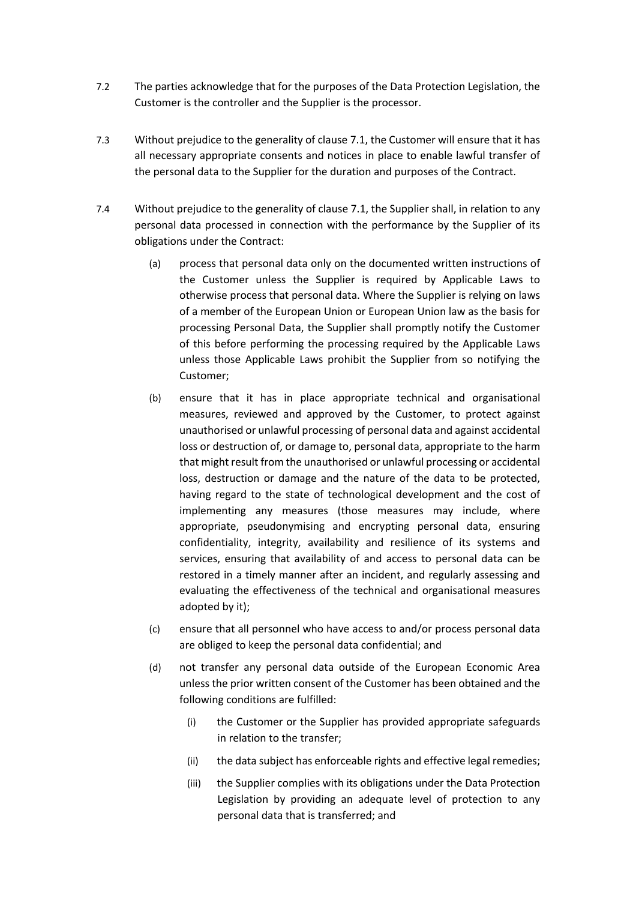- 7.2 The parties acknowledge that for the purposes of the Data Protection Legislation, the Customer is the controller and the Supplier is the processor.
- 7.3 Without prejudice to the generality of clause 7.1, the Customer will ensure that it has all necessary appropriate consents and notices in place to enable lawful transfer of the personal data to the Supplier for the duration and purposes of the Contract.
- 7.4 Without prejudice to the generality of clause 7.1, the Supplier shall, in relation to any personal data processed in connection with the performance by the Supplier of its obligations under the Contract:
	- (a) process that personal data only on the documented written instructions of the Customer unless the Supplier is required by Applicable Laws to otherwise process that personal data. Where the Supplier is relying on laws of a member of the European Union or European Union law as the basis for processing Personal Data, the Supplier shall promptly notify the Customer of this before performing the processing required by the Applicable Laws unless those Applicable Laws prohibit the Supplier from so notifying the Customer;
	- (b) ensure that it has in place appropriate technical and organisational measures, reviewed and approved by the Customer, to protect against unauthorised or unlawful processing of personal data and against accidental loss or destruction of, or damage to, personal data, appropriate to the harm that might result from the unauthorised or unlawful processing or accidental loss, destruction or damage and the nature of the data to be protected, having regard to the state of technological development and the cost of implementing any measures (those measures may include, where appropriate, pseudonymising and encrypting personal data, ensuring confidentiality, integrity, availability and resilience of its systems and services, ensuring that availability of and access to personal data can be restored in a timely manner after an incident, and regularly assessing and evaluating the effectiveness of the technical and organisational measures adopted by it);
	- (c) ensure that all personnel who have access to and/or process personal data are obliged to keep the personal data confidential; and
	- (d) not transfer any personal data outside of the European Economic Area unless the prior written consent of the Customer has been obtained and the following conditions are fulfilled:
		- (i) the Customer or the Supplier has provided appropriate safeguards in relation to the transfer;
		- (ii) the data subject has enforceable rights and effective legal remedies;
		- (iii) the Supplier complies with its obligations under the Data Protection Legislation by providing an adequate level of protection to any personal data that is transferred; and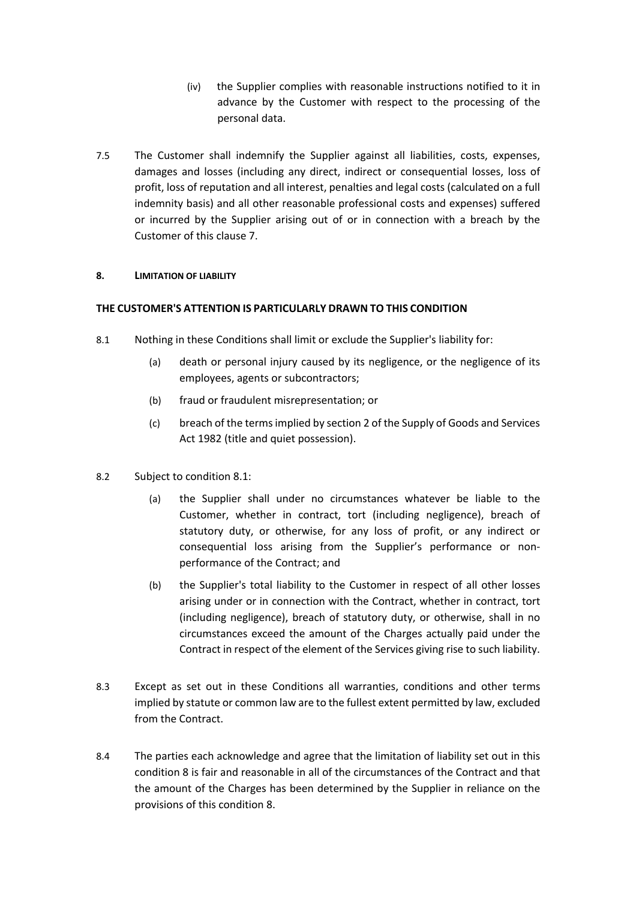- (iv) the Supplier complies with reasonable instructions notified to it in advance by the Customer with respect to the processing of the personal data.
- 7.5 The Customer shall indemnify the Supplier against all liabilities, costs, expenses, damages and losses (including any direct, indirect or consequential losses, loss of profit, loss of reputation and all interest, penalties and legal costs (calculated on a full indemnity basis) and all other reasonable professional costs and expenses) suffered or incurred by the Supplier arising out of or in connection with a breach by the Customer of this clause 7.

## **8. LIMITATION OF LIABILITY**

## **THE CUSTOMER'S ATTENTION IS PARTICULARLY DRAWN TO THIS CONDITION**

- 8.1 Nothing in these Conditions shall limit or exclude the Supplier's liability for:
	- (a) death or personal injury caused by its negligence, or the negligence of its employees, agents or subcontractors;
	- (b) fraud or fraudulent misrepresentation; or
	- (c) breach of the terms implied by section 2 of the Supply of Goods and Services Act 1982 (title and quiet possession).
- 8.2 Subject to condition 8.1:
	- (a) the Supplier shall under no circumstances whatever be liable to the Customer, whether in contract, tort (including negligence), breach of statutory duty, or otherwise, for any loss of profit, or any indirect or consequential loss arising from the Supplier's performance or nonperformance of the Contract; and
	- (b) the Supplier's total liability to the Customer in respect of all other losses arising under or in connection with the Contract, whether in contract, tort (including negligence), breach of statutory duty, or otherwise, shall in no circumstances exceed the amount of the Charges actually paid under the Contract in respect of the element of the Services giving rise to such liability.
- 8.3 Except as set out in these Conditions all warranties, conditions and other terms implied by statute or common law are to the fullest extent permitted by law, excluded from the Contract.
- 8.4 The parties each acknowledge and agree that the limitation of liability set out in this condition 8 is fair and reasonable in all of the circumstances of the Contract and that the amount of the Charges has been determined by the Supplier in reliance on the provisions of this condition 8.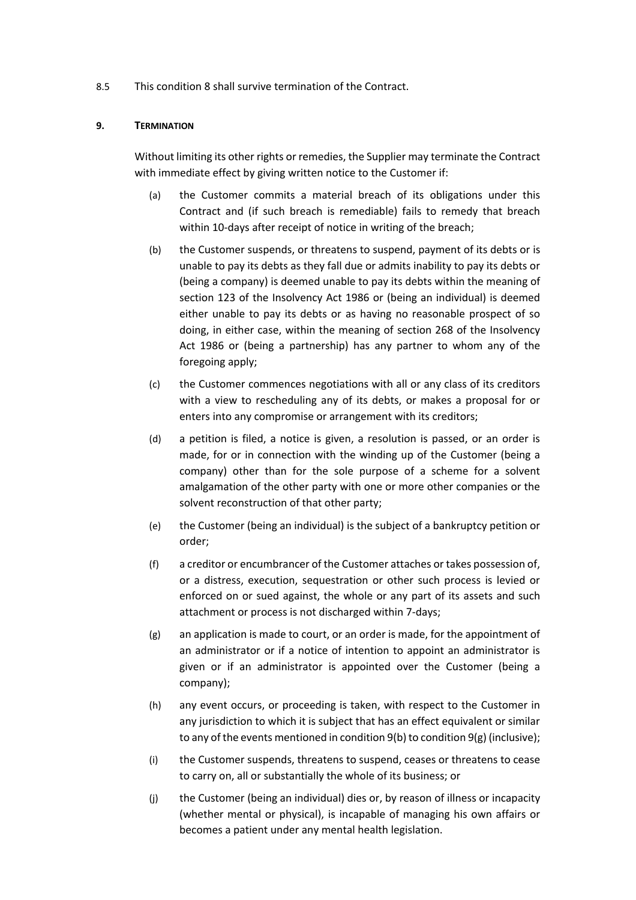8.5 This condition 8 shall survive termination of the Contract.

## **9. TERMINATION**

Without limiting its other rights or remedies, the Supplier may terminate the Contract with immediate effect by giving written notice to the Customer if:

- (a) the Customer commits a material breach of its obligations under this Contract and (if such breach is remediable) fails to remedy that breach within 10-days after receipt of notice in writing of the breach;
- (b) the Customer suspends, or threatens to suspend, payment of its debts or is unable to pay its debts as they fall due or admits inability to pay its debts or (being a company) is deemed unable to pay its debts within the meaning of section 123 of the Insolvency Act 1986 or (being an individual) is deemed either unable to pay its debts or as having no reasonable prospect of so doing, in either case, within the meaning of section 268 of the Insolvency Act 1986 or (being a partnership) has any partner to whom any of the foregoing apply;
- (c) the Customer commences negotiations with all or any class of its creditors with a view to rescheduling any of its debts, or makes a proposal for or enters into any compromise or arrangement with its creditors;
- (d) a petition is filed, a notice is given, a resolution is passed, or an order is made, for or in connection with the winding up of the Customer (being a company) other than for the sole purpose of a scheme for a solvent amalgamation of the other party with one or more other companies or the solvent reconstruction of that other party;
- (e) the Customer (being an individual) is the subject of a bankruptcy petition or order;
- (f) a creditor or encumbrancer of the Customer attaches or takes possession of, or a distress, execution, sequestration or other such process is levied or enforced on or sued against, the whole or any part of its assets and such attachment or process is not discharged within 7-days;
- $(g)$  an application is made to court, or an order is made, for the appointment of an administrator or if a notice of intention to appoint an administrator is given or if an administrator is appointed over the Customer (being a company);
- (h) any event occurs, or proceeding is taken, with respect to the Customer in any jurisdiction to which it is subject that has an effect equivalent or similar to any of the events mentioned in condition 9(b) to condition 9(g) (inclusive);
- (i) the Customer suspends, threatens to suspend, ceases or threatens to cease to carry on, all or substantially the whole of its business; or
- (j) the Customer (being an individual) dies or, by reason of illness or incapacity (whether mental or physical), is incapable of managing his own affairs or becomes a patient under any mental health legislation.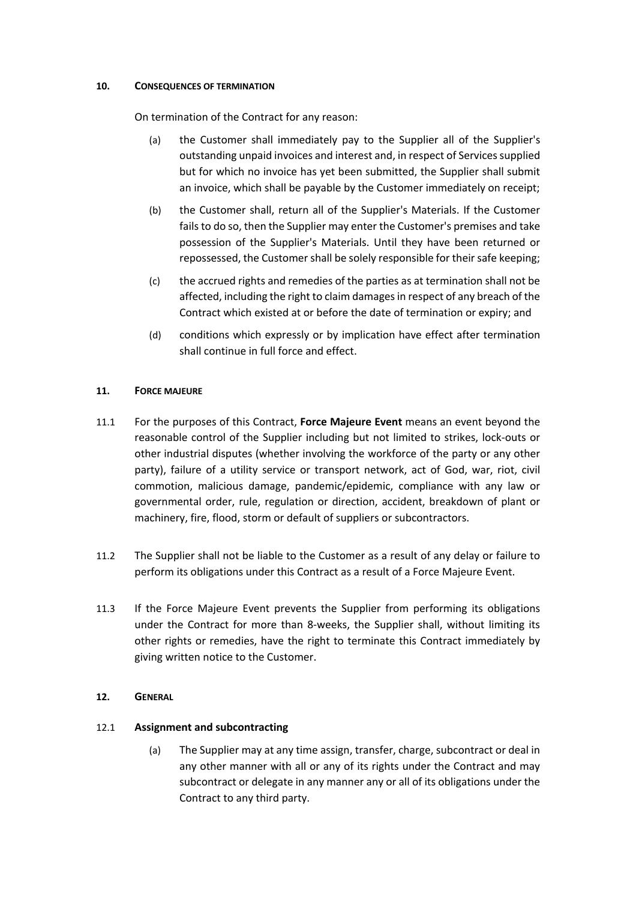## **10. CONSEQUENCES OF TERMINATION**

On termination of the Contract for any reason:

- (a) the Customer shall immediately pay to the Supplier all of the Supplier's outstanding unpaid invoices and interest and, in respect of Services supplied but for which no invoice has yet been submitted, the Supplier shall submit an invoice, which shall be payable by the Customer immediately on receipt;
- (b) the Customer shall, return all of the Supplier's Materials. If the Customer fails to do so, then the Supplier may enter the Customer's premises and take possession of the Supplier's Materials. Until they have been returned or repossessed, the Customer shall be solely responsible for their safe keeping;
- (c) the accrued rights and remedies of the parties as at termination shall not be affected, including the right to claim damages in respect of any breach of the Contract which existed at or before the date of termination or expiry; and
- (d) conditions which expressly or by implication have effect after termination shall continue in full force and effect.

## **11. FORCE MAJEURE**

- 11.1 For the purposes of this Contract, **Force Majeure Event** means an event beyond the reasonable control of the Supplier including but not limited to strikes, lock-outs or other industrial disputes (whether involving the workforce of the party or any other party), failure of a utility service or transport network, act of God, war, riot, civil commotion, malicious damage, pandemic/epidemic, compliance with any law or governmental order, rule, regulation or direction, accident, breakdown of plant or machinery, fire, flood, storm or default of suppliers or subcontractors.
- 11.2 The Supplier shall not be liable to the Customer as a result of any delay or failure to perform its obligations under this Contract as a result of a Force Majeure Event.
- 11.3 If the Force Majeure Event prevents the Supplier from performing its obligations under the Contract for more than 8-weeks, the Supplier shall, without limiting its other rights or remedies, have the right to terminate this Contract immediately by giving written notice to the Customer.

## **12. GENERAL**

# 12.1 **Assignment and subcontracting**

(a) The Supplier may at any time assign, transfer, charge, subcontract or deal in any other manner with all or any of its rights under the Contract and may subcontract or delegate in any manner any or all of its obligations under the Contract to any third party.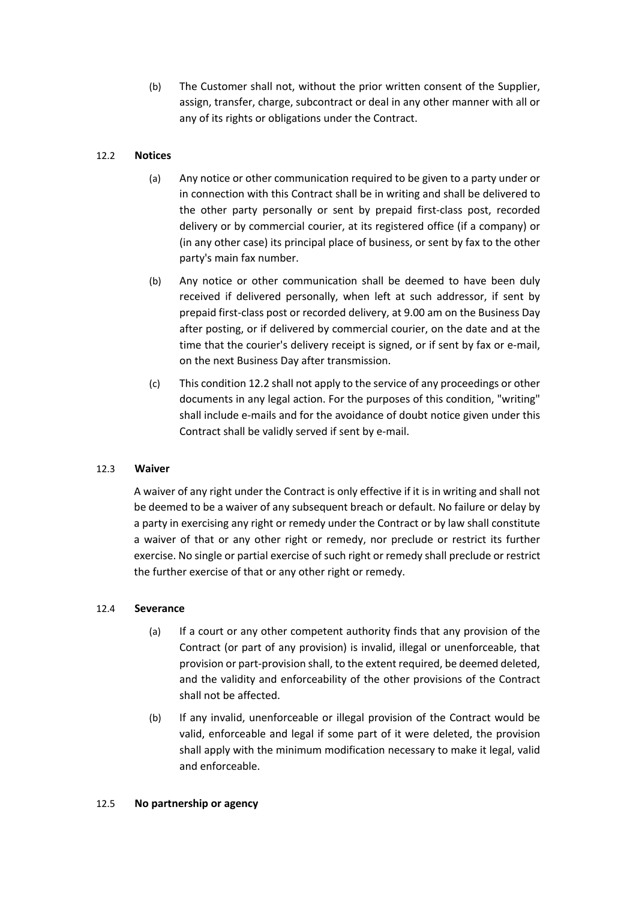(b) The Customer shall not, without the prior written consent of the Supplier, assign, transfer, charge, subcontract or deal in any other manner with all or any of its rights or obligations under the Contract.

# 12.2 **Notices**

- (a) Any notice or other communication required to be given to a party under or in connection with this Contract shall be in writing and shall be delivered to the other party personally or sent by prepaid first-class post, recorded delivery or by commercial courier, at its registered office (if a company) or (in any other case) its principal place of business, or sent by fax to the other party's main fax number.
- (b) Any notice or other communication shall be deemed to have been duly received if delivered personally, when left at such addressor, if sent by prepaid first-class post or recorded delivery, at 9.00 am on the Business Day after posting, or if delivered by commercial courier, on the date and at the time that the courier's delivery receipt is signed, or if sent by fax or e-mail, on the next Business Day after transmission.
- (c) This condition 12.2 shall not apply to the service of any proceedings or other documents in any legal action. For the purposes of this condition, "writing" shall include e-mails and for the avoidance of doubt notice given under this Contract shall be validly served if sent by e-mail.

## 12.3 **Waiver**

A waiver of any right under the Contract is only effective if it is in writing and shall not be deemed to be a waiver of any subsequent breach or default. No failure or delay by a party in exercising any right or remedy under the Contract or by law shall constitute a waiver of that or any other right or remedy, nor preclude or restrict its further exercise. No single or partial exercise of such right or remedy shall preclude or restrict the further exercise of that or any other right or remedy.

## 12.4 **Severance**

- (a) If a court or any other competent authority finds that any provision of the Contract (or part of any provision) is invalid, illegal or unenforceable, that provision or part-provision shall, to the extent required, be deemed deleted, and the validity and enforceability of the other provisions of the Contract shall not be affected.
- (b) If any invalid, unenforceable or illegal provision of the Contract would be valid, enforceable and legal if some part of it were deleted, the provision shall apply with the minimum modification necessary to make it legal, valid and enforceable.

#### 12.5 **No partnership or agency**